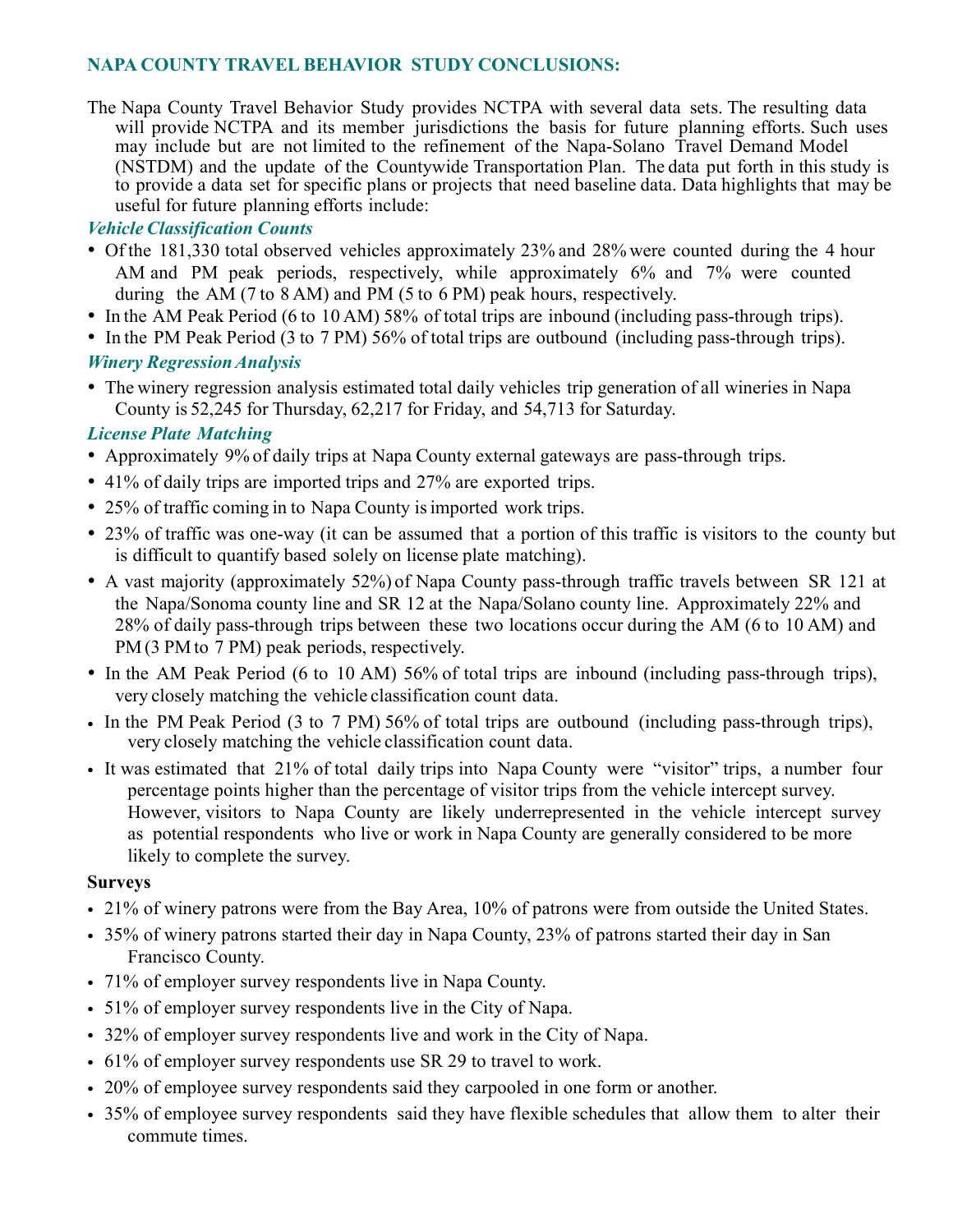# **NAPA COUNTY TRAVEL BEHAVIOR STUDY CONCLUSIONS:**

The Napa County Travel Behavior Study provides NCTPA with several data sets. The resulting data will provide NCTPA and its member jurisdictions the basis for future planning efforts. Such uses may include but are not limited to the refinement of the Napa-Solano Travel Demand Model (NSTDM) and the update of the Countywide Transportation Plan. The data put forth in this study is to provide a data set for specific plans or projects that need baseline data. Data highlights that may be useful for future planning efforts include:

## *Vehicle Classification Counts*

- Of the 181,330 total observed vehicles approximately 23% and 28% were counted during the 4 hour AM and PM peak periods, respectively, while approximately 6% and 7% were counted during the AM (7 to 8 AM) and PM (5 to 6 PM) peak hours, respectively.
- In the AM Peak Period (6 to 10 AM) 58% of total trips are inbound (including pass-through trips).
- In the PM Peak Period (3 to 7 PM) 56% of total trips are outbound (including pass-through trips).

### *Winery RegressionAnalysis*

• The winery regression analysis estimated total daily vehicles trip generation of all wineries in Napa County is 52,245 for Thursday, 62,217 for Friday, and 54,713 for Saturday.

# *License Plate Matching*

- Approximately 9% of daily trips at Napa County external gateways are pass-through trips.
- 41% of daily trips are imported trips and 27% are exported trips.
- 25% of traffic coming in to Napa County is imported work trips.
- 23% of traffic was one-way (it can be assumed that a portion of this traffic is visitors to the county but is difficult to quantify based solely on license plate matching).
- A vast majority (approximately 52%) of Napa County pass-through traffic travels between SR 121 at the Napa/Sonoma county line and SR 12 at the Napa/Solano county line. Approximately 22% and 28% of daily pass-through trips between these two locations occur during the AM (6 to 10 AM) and PM (3 PM to 7 PM) peak periods, respectively.
- In the AM Peak Period (6 to 10 AM) 56% of total trips are inbound (including pass-through trips), very closely matching the vehicle classification count data.
- In the PM Peak Period (3 to 7 PM) 56% of total trips are outbound (including pass-through trips), very closely matching the vehicle classification count data.
- It was estimated that 21% of total daily trips into Napa County were "visitor" trips, a number four percentage points higher than the percentage of visitor trips from the vehicle intercept survey. However, visitors to Napa County are likely underrepresented in the vehicle intercept survey as potential respondents who live or work in Napa County are generally considered to be more likely to complete the survey.

### **Surveys**

- 21% of winery patrons were from the Bay Area, 10% of patrons were from outside the United States.
- 35% of winery patrons started their day in Napa County, 23% of patrons started their day in San Francisco County.
- 71% of employer survey respondents live in Napa County.
- 51% of employer survey respondents live in the City of Napa.
- 32% of employer survey respondents live and work in the City of Napa.
- 61% of employer survey respondents use SR 29 to travel to work.
- 20% of employee survey respondents said they carpooled in one form or another.
- 35% of employee survey respondents said they have flexible schedules that allow them to alter their commute times.